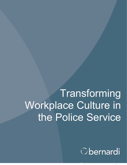# **Transforming** Workplace Culture in the Police Service

Obernardi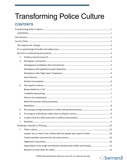## <span id="page-1-0"></span>**Transforming Police Culture**

## <span id="page-1-1"></span>**CONTENTS**

| 1. |                                                                              |  |
|----|------------------------------------------------------------------------------|--|
| 2. |                                                                              |  |
|    |                                                                              |  |
|    |                                                                              |  |
|    |                                                                              |  |
|    |                                                                              |  |
|    |                                                                              |  |
| 3. |                                                                              |  |
|    |                                                                              |  |
|    |                                                                              |  |
|    |                                                                              |  |
|    |                                                                              |  |
|    |                                                                              |  |
| 4. |                                                                              |  |
| 5. |                                                                              |  |
| 6. |                                                                              |  |
| 7. |                                                                              |  |
|    |                                                                              |  |
| 1. |                                                                              |  |
|    | Leaders are, or want to be, friends with the people who report to them  10   |  |
|    |                                                                              |  |
|    |                                                                              |  |
|    | Expectations to be tough and tolerate interpersonal conflict and teasing  11 |  |
|    |                                                                              |  |

## Obernardi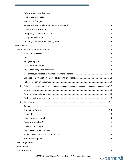| 2. |  |
|----|--|
|    |  |
|    |  |
|    |  |
|    |  |
|    |  |
|    |  |
|    |  |
| 1. |  |
|    |  |
|    |  |
|    |  |
|    |  |
|    |  |
|    |  |
|    |  |
| 2. |  |
|    |  |
|    |  |
|    |  |
| 3. |  |
|    |  |
| 4. |  |
|    |  |
|    |  |
|    |  |
|    |  |
|    |  |
|    |  |
|    |  |
|    |  |
|    |  |
|    |  |

## Obernardi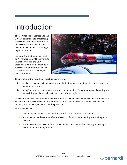## <span id="page-3-0"></span>Introduction

The Toronto Police Service and the OPP are committed to eradicating harassment and discrimination in police services and to acting as leaders in driving positive change in police culture.

In support of that important goal, on November 15, 2021 the Toronto Police Service and the OPP organized a roundtable meeting of representatives of various police services across the province, as well as the RCMP.



The purpose of the roundtable meeting was twofold:

- i) to discuss challenges in addressing and eliminating harassment and discrimination in the police service; and
- ii) to explore whether and how to work together to achieve the common goal of creating and maintaining psychologically safe and respectful workplaces.

The roundtable was facilitated by The Bernardi Centre. The Bernardi Centre is the training arm of Bernardi Human Resource Law LLP, a human resource law firm that has extensive experience working with police agencies across the province.

In this report, we:

- provide evidence-based information about the persistence of harassment
- share insights and recommendations based on decades of conducting work with police agencies
- summarize the discussions from the November 15th roundtable meeting, including an action plan for moving forward

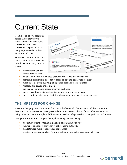## <span id="page-4-0"></span>Current State

Headlines and news programs across the country reveal stories of workplace bullying, harassment and sexual harassment in policing. It is being experienced in police services of all sizes.

There are common themes that emerge from these stories that reveal an overarching culture where:

> • stereotypical gender norms are enforced



- sexual comments, innuendoes, gestures and "jokes" are normalized
- demeaning comments or conduct based on sex and gender are frequent
- mobbing (i.e., group bullying) and gender-based harassment exist
- rumours and gossip are common
- the chain of command acts as a barrier to change
- there is a culture of silence keeping people from coming forward
- there is a strong distrust of the internal complaint and investigation process.

## <span id="page-4-1"></span>**THE IMPETUS FOR CHANGE**

Society is changing. So too are societal norms and tolerance for harassment and discrimination. Sexual and racial harassment have garnered the most attention, but all forms of harassment are being called out in the workplace. Police culture needs to adapt to reflect changes in societal norms.

In organizations where change is already happening, we are seeing:

- a rejection of authoritarian, rigid chain of command structures
- insistence on respect above strict adherence to authority
- a shift toward more collaborative approaches
- greater emphasis on inclusivity and a call for an end to harassment of all types

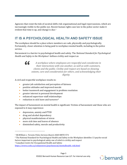Agencies that resist the tide of societal shifts risk organizational and legal repercussions, which are increasingly visible to the public eye. Recent human rights case law in the police sector make it evident that time is up, and change is due.<sup>[1](#page-5-1)</sup>

## <span id="page-5-0"></span>**IT IS A PSYCHOLOGICAL HEALTH AND SAFETY ISSUE**

The workplace should be a place where members are safe, physically and psychologically. Fortunately, closer attention is being paid to workplace mental health, including in the police service.

Harassment is a barrier to psychological health and safety. The *National Standard for Psychological Health and Safety in the Workplace*[2](#page-5-2) defines civility and respect as:



*A workplace where employees are respectful and considerate in their interactions with one another, as well as with customers, clients and the public. Civility and respect are based on showing esteem, care and consideration for others, and acknowledging their dignity.*

A civil and respectful workplace results in:

- greater job satisfaction and perception of fairness
- positive attitudes and improved morale
- better teamwork and engagement in problem resolution
- greater interest in personal development
- enhanced supervisor-staff relationships
- reduction in sick leave and turnover<sup>[3](#page-5-3)</sup>

The impact of harassment on mental health is significant. Victims of harassment and those who are exposed to it may experience:

- depression, anxiety and PTSD
- drug and alcohol dependency
- physical manifestations of stress
- more sick time and leaves of absence
- diminished safety, morale and productivity

<span id="page-5-3"></span><sup>3</sup> Canadian Centre for Occupational Health and Safety:



<span id="page-5-1"></span><sup>1</sup> *McWilliam v. Toronto Police Services Board*, 2020 HRTO 574

<span id="page-5-2"></span><sup>2</sup> The National Standard for Psychological Health and Safety in the Workplace identifies 13 psycho-social factors important to psychological safety one of which is civility and respect

[https://www.ccohs.ca/oshanswers/psychosocial/mentalhealth\\_risk.html](https://www.ccohs.ca/oshanswers/psychosocial/mentalhealth_risk.html)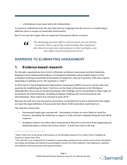• a breakdown in personal and work relationships

In response, individuals leave the jobs they love by resigning from the service or transferring to different units to escape an intolerable environment.

But it's not just the targets who are impacted. Harassment affects everyone.



*The damaging personal effects of harassment are not limited to victims. There is growing understanding that employees who observe or perceive mistreatment in their workplace can also suffer mental and physical harm. [4](#page-6-2)*

## <span id="page-6-0"></span>**BARRIERS TO ELIMINATING HARASSMENT**

## <span id="page-6-1"></span>**1. Evidence-based research**

For decades organizations have tried to eliminate workplace harassment and discrimination. Employers have implemented policies, investigated complaints and provided respect-in-theworkplace training to hundreds of thousands of employees. And yet it persists, with some reports indicating it is getting worse. The question is, "why"?

In 2016 the U.S. Equal Employment Opportunity Commission (EEOC) set out to answer that very question by establishing the *Select Task Force on the Study of Harassment in the Workplace*. Although their focus was on sexual harassment, their findings can be extrapolated to other types of harassment and discrimination, including workplace bullying and racial harassment and discrimination. Their report was released in June 2016*.[5](#page-6-3)*

Because the task force was focused on prevention, it extended its review to behaviours that might not meet the legal definition of harassment but which, if left unchecked, could lead to it.

The task force found that:

- harassment largely goes unreported harassment victims are more likely to avoid the harasser, downplay the behaviour or ignore it, with a formal complaint being the least likely response
- workplace culture can either allow harassment to flourish or prevent it from happening and leadership plays a critical role in that culture – it truly does start at the top



<span id="page-6-2"></span><sup>4</sup> *Select Task Force on the Study of Harassment in the Workplace* Report of Co-Chairs Chai R. Feldblum & Victoria A. Lipnic, June 2016

<span id="page-6-3"></span><sup>5</sup> The task force was comprised of 16 members representing academia from various social science disciplines (sociology, psychology and industrial psychologists), lawyers for both employers and employees, employer and employee advocacy groups and organized labour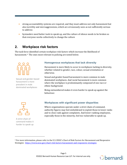- strong accountability systems are required, and they must address not only harassment but also incivility and microaggressions, which are erroneously seen as not sufficiently serious to address
- bystanders need better tools to speak up, and the culture of silence needs to be broken so that everyone works collectively to change the culture

## <span id="page-7-0"></span>**2. Workplace risk factors**

The task force identified certain workplace risk factors which increase the likelihood of harassment.<sup>6</sup> The ones most relevant to policing are noted below.



Sexual and gender-based harassment is more prevalent in male dominated workplaces

#### <span id="page-7-1"></span>**Homogenous workplaces that lack diversity**

Harassment is more likely to occur in workplaces lacking in diversity, whether related to gender, race, colour, sexual orientation or otherwise.

Sexual and gender-based harassment is more common in male dominated workplaces. And racial harassment is more common where the workplace is predominantly composed of one race or ethnic background.

Being outnumbered makes it even harder to speak up against the behaviour.



A strict chain of command makes it harder to speak up

#### <span id="page-7-2"></span>**Workplaces with significant power disparities**

Where organizations operate under a strict chain of command, authority figures may feel emboldened to exploit those in lower ranks and to close rank against complaints. And lower-ranking employees, especially those in the minority, feel too vulnerable to speak up.



<span id="page-7-3"></span><sup>6</sup> For more information, please refer to the U.S. EEOC's Chart of Risk Factors for Harassment and Responsive Strategies:<https://www.eeoc.gov/chart-risk-factors-harassment-and-responsive-strategies>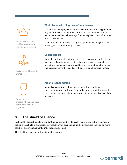

Employees in highranking positions are sometimes protected



Social discord leaks into workplaces



Boundaries can get crossed when people are consuming alcohol together

#### <span id="page-8-0"></span>**Workplaces with "high value" employees**

The conduct of employees in senior level or higher-ranking positions may be minimized or condoned. And high value employees may perceive themselves to be exempt from workplace rules and immune from consequences.

There is also a tendency to seek greater proof when allegations are made against senior-ranking officials.

#### <span id="page-8-1"></span>**Social discord**

Social discord in society at large increases tension and conflict in the workplace. Polarizing and heated discourse may also normalize behaviours that can ultimately lead to harassment. Given the intensity and extent of current social discord, this is a significant risk factor.

#### <span id="page-8-2"></span>**Alcohol consumption**

Alcohol consumption reduces social inhibitions and impairs judgement. Where employees frequently socialize and drink together, lines can become blurred and inappropriate behaviour is more likely to occur.

### <span id="page-8-3"></span>**3. The shield of silence**

Perhaps the biggest hurdle to combatting harassment is silence. In many organizations, particularly policing, the shield of silence is a powerful barrier to speaking up. Being silenced can also be more psychologically damaging than the harassment itself.

The shield of silence manifests in multiple ways.

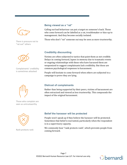

There is pressure not to "rat out" others



Complainants' credibility is sometimes attacked



Those who complain are seen as untrustworthy



Rank protects rank

#### <span id="page-9-0"></span>**Being viewed as a "rat"**

Calling out bad behaviour can put a target on someone's back. Those who come forward can be labelled as a rat, troublemaker or kiss-up to management. And they become socially isolated.

Those who don't "rat" someone out may be seen as more trustworthy.

#### <span id="page-9-1"></span>**Credibility discounting**

Victims are often subjected to tactics that paint them as not credible. Delays in coming forward, lapses in memory due to traumatic events or ongoing relationships with those who have harassed them are weaponized to suggest complainants lack credibility. But these are common psychological responses to harassment.

People will hesitate to come forward when others are subjected to a campaign to prove they are lying.

#### <span id="page-9-2"></span>**Distrust of complainants**

Rather than being supported by their peers, victims of harassment are often ostracized and viewed as less trustworthy. This compounds the impact of the original harassment.

#### <span id="page-9-3"></span>**Belief the harasser will be protected**

People won't speak up if they believe the harasser will be protected. Sometimes that belief is warranted, particularly when the respondent is in a supervisory capacity.

We commonly hear "rank protects rank", which prevents people from coming forward.

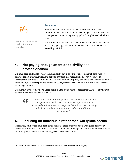

There can be a backlash against those who complain

#### <span id="page-10-0"></span>**Retaliation**

Individuals who complain fear, and experience, retaliation. Sometimes this comes in the form of challenges to promotions and career growth because they are tagged as "complainers" who break rank.

Other times the retaliation is social: they are subjected to exclusion, ostracizing, gossip, and character assassination, all of which are incredibly painful.

## <span id="page-10-1"></span>**4. Not paying enough attention to civility and professionalism**

We have been told not to "sweat the small stuff" but in our experience, the small stuff matters because it accumulates, increasing the risk of workplace harassment or even violence. If disrespectful conduct is condoned and tolerated in the workplace, it can lead to a workplace culture that is toxic, with corresponding retention issues, increased sick leave, low morale, and increased risk of legal liability.

When incivility becomes normalized there is a far greater risk of harassment. As noted by Lauren Stiller Rikleen in the *Shield of Silence*:

"

*…workplace programs designed to meet the letter of the law are generally ineffective. Too often, such programs are premised on the notion that negative behaviours are caused by a lack of knowledge about what conduct is and is not acceptable[7](#page-10-3)*

## <span id="page-10-2"></span>**5. Focusing on individuals rather than workplace norms**

Historically employees have been given the same piece of advice about workplace behaviour: "know your audience". The intent is that it is safe to joke or engage in certain behaviour as long as the other party's comfort level and degree of tolerance is known.



<span id="page-10-3"></span><sup>7</sup> Rikleen, Lauren Stiller. *The Shield of Silence*. American Bar Association, 2019, at p. 72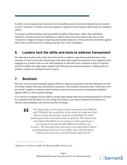In other cases, employees are instructed to be mindful around certain individuals who are viewed as more "sensitive". In either case, the emphasis is placed on the recipient rather than on workplace norms.

Focusing on professionalism and acceptable workplace behaviours, rather than individual tolerance, correctly places the emphasis on culture and norms and removes the onus on the recipient to instigate change by reporting unwelcome behaviour. It also prevents retaliation against those who are perceived to be taking away the "fun" in the workplace.

## <span id="page-11-0"></span>**6. Leaders lack the skills and tools to address harassment**

We often hear leaders tell us they don't know how to address unprofessional behaviour in the moment. Or how to have the conversation with those who report harassment or are alleged to have engaged in it. Leaders who are not well-equipped, or who don't feel confident in how to respond, may fail to follow the right steps, condone the behaviour by omission, and put a chilling effect on people's comfort in coming forward to report.

## <span id="page-11-1"></span>**7. Backlash**

We have seen increased backlash against efforts to address harassment and discrimination as well as broader equity, diversity and inclusion measures. This includes comments that "white men can't get ahead", negative comments about having to attend anti-harassment training and pushback against efforts to drive positive change.

It is critical to recognize the perception among some groups that they are being attacked or blamed for inequities and that they are now losing out. Doing so can reduce backlash and help drive a shared understanding of the mutual benefits of change.



*The magnitude of anti-sexual assault movements like #MeToo and #TimesUp has seeded fear in the minds of young men that they are being discounted, replaced and denigrated, while women gain more momentum and recognition. This mirrors the same kind of backlash we are seeing as white supremacy is increasing as movements like #BlackLivesMatter get traction…The message these men seem to be absorbing is that if marginalized groups have more rights, they will have fewer, which is of course not at all how human rights work.[8](#page-11-2)*



<span id="page-11-2"></span><sup>8</sup> Plank, Liz. *For the Love of Men*. St. Martin's Griffin, 2019, at p. 52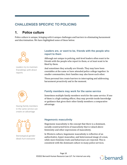## <span id="page-12-0"></span>**CHALLENGES SPECIFIC TO POLICING**

## <span id="page-12-1"></span>**1. Police culture**

Police culture is unique, bringing with it unique challenges and barriers to eliminating harassment and discrimination. We have highlighted some of these below.



Leaders try to maintain friendships with direct reports



Having family members in the same service can create an advantage



Stereotypical gender ideals hurt everyone

#### <span id="page-12-2"></span>**Leaders are, or want to be, friends with the people who report to them**

Although not unique to policing, mid-level leaders often want to be friends with the people who report to them, or at least want to be liked by them.

And sometimes they actually are friends. They may have been constables at the same or have attended police college together. In smaller communities, their families may also know each other.

These personal ties create barriers to interrupting and addressing harassment proactively and in the moment.

#### <span id="page-12-3"></span>**Family members may work for the same service**

Sometimes multiple family members work for the same service. If one of them is a high-ranking officer, they may provide inside knowledge or guidance that gives their other family members a comparative advantage.

#### <span id="page-12-4"></span>**Hegemonic masculinity**

Hegemonic masculinity is the concept that there is a dominant, socially constructed form of masculinity that is valued above femininity and other expressions of masculinity.

In Western culture, hegemonic masculinity is reflective of an authoritative, hyper-masculine, and heterosexual image of a man, while more feminine traits and behaviours are rejected. This is consistent with the dominant culture in many police services.

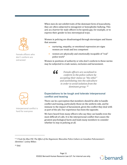Female officers who don't conform are ostracized

When men do not exhibit traits of the dominant form of masculinity, they are often subjected to misogynist or homophobic bullying. This acts as a barrier for male officers to be openly gay, for example, or to express their gender in less stereotypical ways.

Women in policing are disadvantaged through stereotypes and biases that assume:

- nurturing, empathy, or emotional expression are signs women are weak and less competent
- women are physically and emotionally incapable of "real" police work[9](#page-13-1)

Women in positions of authority or who don't conform to these norms may be subjected to crude names, exclusion and harassment.

> *Female officers are socialized to conform to the police culture by accepting their status as "the other" and assimilating into the subculture in order to avoid isolation from the dominant group. [10](#page-13-2)*



Interpersonal conflict is hard for everyone

#### <span id="page-13-0"></span>**Expectations to be tough and tolerate interpersonal conflict and teasing**

There can be a perception that members should be able to handle conflict and teasing, particularly those on the uniform side, and be immune to the impact of harassment, given the conflict they deal with as part of the job. Our experience has been the opposite.

We have heard from many officers who say they can handle even the most difficult of calls. It is the interpersonal conflict that causes the greatest psychological harm and leads many members to consider whether to stay in policing at all.

 $\epsilon$ 

<span id="page-13-2"></span><sup>10</sup> *Ibid*.



<span id="page-13-1"></span><sup>9</sup> "*I Took the Blue Pill*: *The Effect of the Hegemonic Masculine Police Culture on Canadian Policewomen's Identities"*, Lesley Bilkos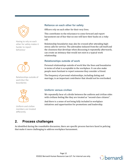

Having to rely on each other for safety makes it harder to report behaviour



Relationships outside of work blur the boundaries



Uniform and civilian members are treated differently

#### <span id="page-14-0"></span>**Reliance on each other for safety**

Officers rely on each other for their very lives.

This contributes to the reluctance to come forward and report harassment out of fear that no one will have their backs on a risky call.

Relationship boundaries may also be crossed after attending highstress calls for service. The adrenaline induced from the call itself and the closeness that develops when discussing it repeatedly afterwards, can create an intimacy that would not exist in a typical work relationship.

#### <span id="page-14-1"></span>**Relationships outside of work**

Personal relationships outside of work blur the lines and boundaries in terms of what is acceptable in the workplace. It can also make people more hesitant to report someone they consider a friend.

The frequency of personal relationships, including dating and marriage, is an important contributor that should not be overlooked.

#### <span id="page-14-2"></span>**Uniform versus civilian**

We repeatedly hear of a divide between the uniform and civilian sides with civilians feeling like they are treated as "second-class citizens".

And there is a sense of not being fully included in workplace initiatives and opportunities for promotions and leadership.

## <span id="page-14-3"></span>**2. Process challenges**

As identified during the roundtable discussion, there are specific process barriers faced in policing that make it more challenging to address workplace harassment.

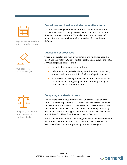Tight deadlines interfere with restoration efforts



Multiple processes create challenges

#### <span id="page-15-0"></span>**Procedures and timelines hinder restorative efforts**

The duty to investigate both incidents and complaints under the *Occupational Health & Safety Act* (OHSA), and the procedures and timelines imposed under the PSA make other interventions and restorative practices such as mediation and conflict resolution difficult.

#### <span id="page-15-1"></span>**Duplication of processes**

There is an overlap between investigations and findings under the OHSA and the *Ontario Human Rights Code* (the Code) versus the *Police Services Act* (PSA). This results in:

- the potential for conflicting findings
- delays, which impede the ability to address the harassment, and which disrupt the unit in which the allegations arose
- an increased psychological burden on both complainants and respondents including complainants potentially having to retell and relive traumatic events

Competing standards of proof can lead to conflicting findings

#### <span id="page-15-2"></span>**Competing standards of proof**

The standard for findings of harassment under the OHSA and the Code is "balance of probabilities". This has been expressed as "more likely true than not" or 50% +1. Under the PSA, the standard is "clear and convincing evidence". This has not been adequately defined by the courts other than to suggest that it means more than "balance of probabilities" and less than "beyond a reasonable doubt".

As a result, a finding of harassment might be made in one context and not another. In our experience, the standards have also sometimes been misunderstood or misapplied by internal investigators.

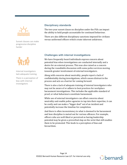

Sunset clauses can make progressive discipline harder



Internal investigators lack adequate training

There is a perception of bias with internal investigators

#### <span id="page-16-0"></span>**Disciplinary standards**

The two-year sunset clause on discipline under the PSA can impact the ability to hold people accountable for continued behaviour.

There are also different disciplinary sanctions imposed for civilians versus uniformed officers which create inherent unfairness.

#### <span id="page-16-1"></span>**Challenges with internal investigations**

We have frequently heard individuals express concern about potential bias when investigations are conducted internally and a desire for an external process. This was also raised as a concern during the roundtable discussion with some police services moving towards greater involvement of external investigators.

Along with concerns about neutrality, people report a lack of confidentiality during investigations, which causes distrust in the process and acts as a barrier for coming forward.

There is also a lack of adequate training of internal investigators who may not be aware of or adhere to best practices for workplace harassment investigations. This includes the applicable standard of proof, or what behaviours constitute harassment.

While use of external investigators can offset concerns about neutrality and enable police agencies to tap into their expertise, it can be costly and can make a "bigger deal" out of an incident and potentially increase the timeline for completion.

And there is often inconsistency in what is deemed to be harassment and how discipline is meted out for various offences. For example, officers who are well-liked or perceived as having leadership potential may be given a proverbial slap on the wrist that still enables them to be promoted. This leads to a perception of bias and favouritism.

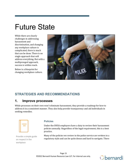## <span id="page-17-0"></span>Future State

While there are clearly challenges in addressing harassment and discrimination, and changing any workplace culture is complicated, there is much that can be done. There is no single approach that will address everything. But with a multipronged approach, success is within reach.

Below is a blueprint for changing workplace culture.



## <span id="page-17-1"></span>**STRATEGIES AND RECOMMENDATIONS**

### <span id="page-17-2"></span>**1. Improve processes**

While processes on their own won't eliminate harassment, they provide a roadmap for how to address it in a consistent manner. They also help provide transparency and aid individuals in seeking remedies.

|  | the control of the control of the control of<br>the control of the control of the con-<br><u> The Common State State Sta</u> te<br>the control of the control of |  |
|--|------------------------------------------------------------------------------------------------------------------------------------------------------------------|--|
|  |                                                                                                                                                                  |  |
|  |                                                                                                                                                                  |  |
|  |                                                                                                                                                                  |  |

Provide a simple guide on respect in the workplace

#### <span id="page-17-3"></span>**Policies**

Under the OHSA employers have a duty to review their harassment policies annually. Regardless of the legal requirement, this is a best practice.

Many of the policies we review in the police service are written in a regulatory style and can be quite dense and hard to navigate. There

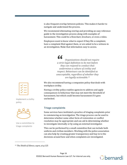is also frequent overlap between policies. This makes it harder to navigate and understand the process.

We recommend eliminating overlap and providing an easy reference guide to the investigation process along with examples of harassment. This could be a flowchart, brochure, or even a video.

Employees want to know what to expect if they file a complaint, have a complaint filed against them, or are asked to be a witness in an investigation. Make that information easy to access.

> " *Organizations should not require a strict legal definition to be met before they can respond to conduct that undermines a culture of civility and respect. Behaviours can be identified as unacceptable, regardless of whether they are legally actionable.[11](#page-18-1)*

We also recommend having a companion policy that deals with workplace civility.

Having a civility policy enables agencies to address and apply consequences to behaviour that may not meet the threshold of harassment, but which could become harassment if it goes unchecked.

#### <span id="page-18-0"></span>**Triage complaints**

Some services have instituted a practice of triaging complaints prior to commencing an investigation. The triage process can be used to determine whether some other form of restoration or conflict resolution may be appropriate and can aid in determining whether to investigate internally or by using an external investigator.

This can be performed by a small committee that can include both uniform and civilian members. Working with the police association can also help by creating greater transparency and buy-in to the decisions around how and when complaints are investigated.



Implement a civility policy



Use a committee to triage complaints



<span id="page-18-1"></span><sup>11</sup> *The Shield of Silence*, *supra*, at p.125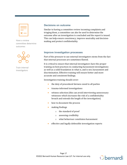

Have a review committee determine outcomes



Train internal investigators

#### <span id="page-19-0"></span>**Decisions on outcome**

Similar to having a committee review incoming complaints and triaging them, a committee can also be used to determine the outcome after an investigation is concluded and the report is issued. This can help ensure consistency, improve neutrality and decisionmaking and protect confidentiality.

#### <span id="page-19-1"></span>**Improve investigation processes**

Part of the pressure to use external investigators stems from the fact that internal processes are sometimes flawed.

It is critical to ensure that internal investigators have the proper training on best practices in conducting harassment investigations as well as a solid foundation in what is, and is not, harassment and discrimination. Effective training will ensure better and more accurate and consistent findings.

Investigation training should cover:

- the duty of procedural fairness owed to all parties
- trauma-informed investigations
- witness selection (this can avoid interviewing unnecessary witnesses which increases the risk of a confidentiality breach and extends the length of the investigation)
- how to document the process
- making findings
	- o the standard of proof
	- o assessing credibility
	- o what behaviour constitutes harassment
- effective and legally defensible investigation reports

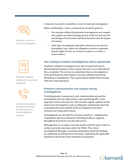

Establish a roster of external investigators



Employer-initiated complaints can protect individuals



Increase transparency and communication during the process Provide wellness supports

It may also be useful to establish a roster of external investigators.

When establishing a roster, consideration should be given to:

- the requisite skillset (harassment investigations are complex and require an understanding not just of the law but also the psychology of harassment and discrimination and the impact of trauma)
- what type of complaints should be referred to an external investigator (e.g., where the allegations involve a potential human rights breach, are serious in nature, or involve a senior leader)

#### <span id="page-20-0"></span>**Use employer-initiated investigations where appropriate**

Employer-initiated investigations are also an important tool in eliminating harassment as they remove the onus on an individual to file a complaint. The service can determine that an investigation is warranted based on information it receives without necessarily identifying a complainant. This is particularly helpful when dealing with toxic team dynamics.

#### <span id="page-20-1"></span>**Enhance communication and support during investigations**

Providing greater transparency and communication around the investigation process helps parties cope psychologically. It also engenders trust in the process. This includes regular updates on the status of an investigation, such as telling the complainant when the respondent has been notified of the investigation and when witnesses are being interviewed.

Investigations are stressful for everyone involved – complainants, respondents and even witnesses. Providing wellness supports throughout the process can ease that stress.

Although there is no duty to provide parties with the report, there is a duty to provide outcomes under the OHSA. This is best accomplished through a conclusion meeting in which the findings are explained, including where necessary, explaining the applicable standard of proof and what constitutes harassment.

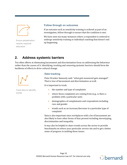

Ensure perpetrators receive required education

#### <span id="page-21-0"></span>**Follow through on outcomes**

If an outcome such as sensitivity training is ordered as part of an investigation, follow through to ensure that the condition is met.

We have seen too many instances where a respondent is ordered to undergo sensitivity training or individual coaching that doesn't end up happening.

## <span id="page-21-1"></span>**2. Address systemic barriers**

Too often efforts at eliminating harassment and discrimination focus on addressing the behaviour rather than the causes of it. Identifying, tracking and removing systemic barriers should form the backbone of efforts to drive cultural change.



#### <span id="page-21-2"></span>**Data tracking**

Peter Drucker famously said: "what gets measured gets managed". That is true of harassment and discrimination as well.

It is important to track:

Track data to identify trends

- the number and type of complaints
- where those complaints are coming from (e.g., is there a problem with a particular unit)
- demographics of complainants and respondents including race and gender
- trends such as an increase/decrease in a particular type of complaint

Data is also important since workplaces with a lot of harassment are also likely to have other forms of bias present including stereotyping, discrimination and inequality.

It may also be helpful to share trends across the sector to provide benchmarks on where your particular service sits and to get a better sense of progress in tackling these issues.

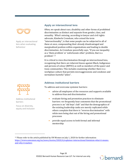

Apply an intersectional lens when evaluating behaviour



Address institutional barriers

Focus on diversity, equity and inclusion

#### <span id="page-22-0"></span>**Apply an intersectional lens**

Often, we speak about race, disability and other forms of prohibited discrimination as distinct and separate from gender, class, and sexuality. What's missing, according to lawyer and civil rights advocate, Kimberle Crenshaw, who coined the term "intersectionality", is that some people can be subjected to all of these at once, compounding their already disadvantaged and marginalized position within organizations and leading to double discrimination. As Crenshaw powerfully says, "If you see inequality as a 'them problem' or 'unfortunate other' problem, that is a problem".[12](#page-22-2)

It is critical to view discrimination through an intersectional lens, recognizing that there are inherent biases against Black, Indigenous and persons of colour (BIPOC) as well as members of the queer and trans communities. This includes examining whether there is a workplace culture that permits microaggressions and condones and normalizes harmful "jokes".

#### <span id="page-22-1"></span>**Address institutional barriers**

To address and overcome systemic barriers:

- advise all employees of the resources and supports available to address bias and discrimination
- evaluate hiring and promotion practices to eliminate barriers: we frequently hear comments that the promotional process is an "old boys' club" and that the demographics of the existing leadership ranks are merely replicated while others complain that there is "reverse discrimination" with white men being shut out of the hiring and promotional processes
- provide equal access to both formal and informal mentorship



<span id="page-22-2"></span><sup>&</sup>lt;sup>12</sup> Please refer to the article published by UN Women on July 1, 2020 for further information: [https://www.unwomen.org/en/news/stories/2020/6/explainer-intersectional-feminism-what-it-means](https://www.unwomen.org/en/news/stories/2020/6/explainer-intersectional-feminism-what-it-means-and-why-it-matters)[and-why-it-matters](https://www.unwomen.org/en/news/stories/2020/6/explainer-intersectional-feminism-what-it-means-and-why-it-matters)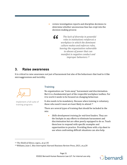• review investigation reports and discipline decisions to determine whether unconscious bias has crept into the decision-making process

*The lack of diversity in powerful roles in institutions reinforces a workplace in which the dominant culture makes and enforces rules, leaving the organization vulnerable to abuses of power that can manifest in negative conduct and improper behaviors.[13](#page-23-2)*  $\epsilon$ 

### <span id="page-23-0"></span>**3. Raise awareness**

It is critical to raise awareness not just of harassment but also of the behaviours that lead to it like microaggressions and incivility.



Implement a full suite of training programs

#### <span id="page-23-1"></span>**Training**

No organization can "train away" harassment and discrimination. But it is a fundamental part of the respectful workplace toolbox. For it to work it needs to be focused on changing behaviour.

It also needs to be mandatory. Because when training is voluntary, those who need it most are least likely to attend.[14](#page-23-3)

There are several types of training that should be included in the mix:

• *Skills-development training for mid-level leaders*. They are the linchpin in any efforts to eliminate harassment and discrimination but are often poorly equipped to do so. Teach them how to respond with specific examples and opportunities to practice. Providing them with a tip sheet to use when confronting difficult situations can also help.

<span id="page-23-2"></span><sup>13</sup> *The Shield of Silence*, supra., at p.135



<span id="page-23-3"></span><sup>14</sup> Williams, Joan C. *Bias Interrupted*. Harvard Business Review Press, 2021, at p.28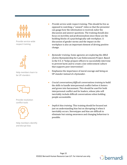

Provide service-wide respect training



Help members learn to be UP-standers



Provide resolution conflict tools



Help members identify and disrupt bias

- *Provide service-wide respect training*. This should be live as opposed to watching a "canned" video so that the presenter can gauge how the information is received, tailor the discussion and answer questions. The training should also focus on incivility and professionalism since those are the building blocks of a psychologically safe workplace. A discussion of gender norms and the impact on the workplace is also an important element of driving positive change.
- *Bystander training.* Some agencies are exploring the ABLE (Active Bystandership for Law Enforcement) Project. Based in the U.S. it "helps prepare officers to successfully intervene to prevent harm and to create a law enforcement culture that supports peer intervention".
- Emphasize the importance of moral courage and being an UP-stander instead of a bystander.
- *Crucial conversations/difficult conversations training* to build the skills to handle interpersonal conflict before it festers and grows into harassment. This should be used for both interpersonal conflict and for leaders, whose jobs will inevitably include difficult conversations when holding people accountable.
- *Implicit bias training*. This training should be focused not just on understanding bias but on disrupting it when it inevitably occurs. Stereotypes and bias are difficult to eliminate but raising awareness and changing behaviour is possible.

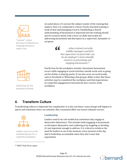

"Canned", online learning is ineffective at changing behaviour: make it live

As noted above, it's not just the subject-matter of the training that matters. How it is conducted is critical. Poorly executed training is weak at best and damaging at worst. Establishing a shared understanding of harassment is important but the training should also be scenario-based with a focus on skills and scripts for addressing harassment and disrespect as a supervisor, bystander or recipient.

> *…when trained correctly, middle-managers and firstline supervisors in particular can be an employer's most valuable resource in preventing and stopping harassment. [15](#page-25-2)*  $\epsilon$



Clarify how far the workplace extends

Clarify how far the workplace extends: Sometimes harassment occurs while engaging in social activities outside work such as going out for drinks or playing sports. It can also occur on social media such as Facebook or WhatsApp chat groups. Make it clear that those activities may be considered the workplace and that expectations on respectful engagement transcend the four corners of the workplace.

## <span id="page-25-0"></span>**4. Transform Culture**

Transforming culture is important but complicated. It is also not linear: some change will happen in spurts and sometimes there are setbacks. But a sustained effort can ensure ultimate success.



Leaders must act as the standard bearers for a respectful workplace

#### <span id="page-25-1"></span>**Leadership**

Leaders need to be role models but sometimes they engage in destructive behaviours. This includes both engaging in harassment or disrespect themselves and condoning it by laughing or deciding it's not important enough to address. It is critical to reinforce the need for leaders to act in the moment, every moment of the day. And to hold them accountable when they don't meet that expectation.

<span id="page-25-2"></span><sup>15</sup> *EEOC Task Force, supra*

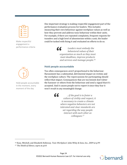| п<br>the control of the control of the<br>٦ |  |
|---------------------------------------------|--|
|                                             |  |

Make respectful engagement a performance criteria

One important strategy is making respectful engagement part of the performance evaluation process for leaders. This includes measuring their own behaviour against workplace values as well as how they prevent and address toxic behaviour within their units. For example, if there are repeated complaints, frequent requests for transfers and a high level of absenteeism within a unit, the leader could be tasked with fixing it and evaluated on efforts to do so.

> *Leaders must embody the behavioral values of their*  **66** Leaders must embody the<br>behavioral values of their<br>organization as much as they must *meet deadlines, improve products and services and manage people.[16](#page-26-1)*

#### <span id="page-26-0"></span>**Hold people accountable**

Too often consequences aren't proportional to the behaviour. Harassment has a substantial, detrimental impact on victims and the workplace culture. The repercussions for participating should reflect that impact. Consequences that are too lenient don't deter the harasser or others from the behaviour and send a signal that it's accepted. And it causes people not to report it since they fear it won't result in any meaningful change.

> *…if the goal is to foster a culture of civility and respect, it is necessary to create a climate where negative behaviors are not tolerated and clear standards are set regarding the way people interact with each other as colleagues.[17](#page-26-2)*  $\epsilon$

<span id="page-26-1"></span>

<span id="page-26-2"></span><sup>17</sup> *The Shield of Silence*, *supra* at p.64





Hold people accountable in the moment, every moment of the day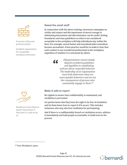

Promote civility and professionalism

Establish expectations for acceptable workplace behaviour

#### <span id="page-27-0"></span>**Sweat the small stuff**

In conjunction with the above training, awareness campaigns on civility and respect and the importance of moral courage in eliminating harassment and discrimination can be useful. Setting boundaries and clear guidelines on what is not considered acceptable in the workplace will help individuals stay within the lines. For example, sexual banter and sexualized jokes sometimes become normalized. A best practice would be to make it clear that such conduct is not considered professional in the workplace, regardless of whether it is welcomed by others.

> *[O]rganizations cannot simply depend on federal guidelines and legalities in establishing policies about respectful behavior. The leadership of an organization must both determine what are unacceptable behaviors and set out the consequences of persons who consistently engage in them.[18](#page-27-2)*

#### <span id="page-27-1"></span>**Make it safe to report**

 $\epsilon$ 

Be vigilant to ensure that confidentiality is maintained, and retaliation is prevented.

Let parties know that they have the right to be free of retaliation and let them know how to report it if it occurs. This includes witnesses who may also fear retaliation for participating.

And if there is a confidentiality breach or retaliation occurs, address it immediately and hold people accountable, to build trust in the process.



People are more likely to report harassment if they feel it is safe to do so

<span id="page-27-2"></span><sup>18</sup> *Toxic Workplace!, supra.*

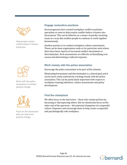

Help people resolve conflict before it festers and grows



Work with the police association to achieve positive change



Focus on the champions who can help drive positive change

#### <span id="page-28-0"></span>**Engage restorative practices**

Several agencies have created workplace conflict resolution specialists or units to help resolve conflict before it festers into harassment. This can be effective as a means of quickly resolving issues in a way that enables people to continue to work together harmoniously.

Another practice is to conduct workplace culture assessments. These can be done organization-wide or for particular units where there have been reports of increased conflict, harassment or discrimination. Such assessments are effective at identifying root causes and determining a tailored response.

#### <span id="page-28-1"></span>**Work closely with the police association**

Encourage the police association to be part of the solution.

Eliminating harassment and discrimination is a shared goal and it can be more easily achieved by working closely with the police association. This can be particularly important with respect to workplace training initiatives, culture assessments and policy development.

#### <span id="page-28-2"></span>**Find the champions**

We often focus on the bad actors – those who violate policies by harassing or disrespecting others. But we should also focus on the other end of the spectrum – the potential champions of a respectful culture. Empower and encourage them to help create a respectful and psychologically safe workplace.

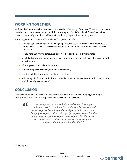## <span id="page-29-0"></span>**WORKING TOGETHER**

At the end of the roundtable the discussion turned to where to go from here. There was consensus that the conversation was valuable and that working together is beneficial. Several participants noted the value of getting internal buy-in from the top to participate in this process.

Some suggestions on how to effectively work together include:

- having regular meetings and focusing on particular issues in-depth in each meeting (e.g., intake processes, workplace restoration, training and what a fair investigation process looks like)
- conducting a survey to determine key priorities for the deep-dive meetings
- establishing norms around best practices for eliminating and addressing harassment and discrimination
- sharing resources and data on trends
- determining best practices, to achieve consistency
- uniting to lobby for improvements to legislation
- educating adjudicators and arbitrators on the impact of harassment on individual victims and the workplace as a whole

## <span id="page-29-1"></span>**CONCLUSION**

While changing workplace culture and norms can be complex and challenging, by taking a multipronged and sustained approach, positive change is possible.

 $\epsilon$ 

*As the myriad recommendations and research examples indicate, there is a roadmap for eliminating harassment and other negative behaviors in the workplace, and it starts with changing workplace culture. The specific ways to accomplish this change may vary from workplace to workplace, but the answers exist and are accessible to any organization with engaged leaders willing to commit to the effort. [19](#page-29-2)*



<span id="page-29-2"></span><sup>19</sup> *Ibid*, at p.173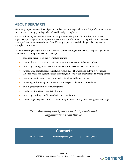## <span id="page-30-0"></span>**ABOUT BERNARDI**

We are a group of lawyers, investigators, conflict resolution specialists and HR professionals whose mission is to create psychologically safe and healthy workplaces.

For more than 25 years we have been on the ground working with thousands of employees, supervisors, managers, union representatives and HR professionals. Through that work we have developed a deep understanding of the different perspectives and challenges of each group and workplace culture we serve.

We have a strong background in police culture, gained through our work assisting multiple police agencies across the province of all sizes by:

- conducting respect-in-the-workplace training
- training leaders on how to create and maintain a harassment-free workplace
- providing training on diversity and inclusion, unconscious bias and anti-racism
- investigating complaints of sexual and gender-based harassment, bullying, workplace violence, racial and systemic discrimination, and code of conduct violations, among others
- developing policies on respect and professionalism in the workplace
- reviewing and advising on harassment and respect policies and procedures
- training internal workplace investigators
- conducting individual sensitivity training
- providing coaching, conflict resolution and mediation
- conducting workplace culture assessments (including surveys and focus group meetings)

## *Transforming workplaces so that people and organizations can thrive*